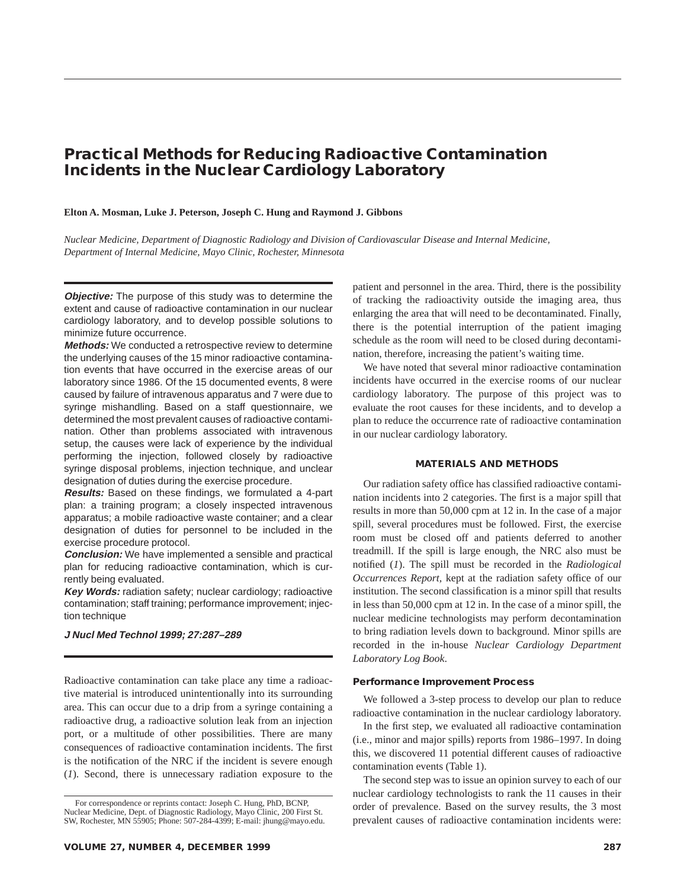# **Practical Methods for Reducing Radioactive Contamination Incidents in the Nuclear Cardiology Laboratory**

#### **Elton A. Mosman, Luke J. Peterson, Joseph C. Hung and Raymond J. Gibbons**

*Nuclear Medicine, Department of Diagnostic Radiology and Division of Cardiovascular Disease and Internal Medicine, Department of Internal Medicine, Mayo Clinic, Rochester, Minnesota*

**Objective:** The purpose of this study was to determine the extent and cause of radioactive contamination in our nuclear cardiology laboratory, and to develop possible solutions to minimize future occurrence.

**Methods:** We conducted a retrospective review to determine the underlying causes of the 15 minor radioactive contamination events that have occurred in the exercise areas of our laboratory since 1986. Of the 15 documented events, 8 were caused by failure of intravenous apparatus and 7 were due to syringe mishandling. Based on a staff questionnaire, we determined the most prevalent causes of radioactive contamination. Other than problems associated with intravenous setup, the causes were lack of experience by the individual performing the injection, followed closely by radioactive syringe disposal problems, injection technique, and unclear designation of duties during the exercise procedure.

**Results:** Based on these findings, we formulated a 4-part plan: a training program; a closely inspected intravenous apparatus; a mobile radioactive waste container; and a clear designation of duties for personnel to be included in the exercise procedure protocol.

**Conclusion:** We have implemented a sensible and practical plan for reducing radioactive contamination, which is currently being evaluated.

**Key Words:** radiation safety; nuclear cardiology; radioactive contamination; staff training; performance improvement; injection technique

#### **J Nucl Med Technol 1999; 27:287–289**

Radioactive contamination can take place any time a radioactive material is introduced unintentionally into its surrounding area. This can occur due to a drip from a syringe containing a radioactive drug, a radioactive solution leak from an injection port, or a multitude of other possibilities. There are many consequences of radioactive contamination incidents. The first is the notification of the NRC if the incident is severe enough (*1*). Second, there is unnecessary radiation exposure to the

patient and personnel in the area. Third, there is the possibility of tracking the radioactivity outside the imaging area, thus enlarging the area that will need to be decontaminated. Finally, there is the potential interruption of the patient imaging schedule as the room will need to be closed during decontamination, therefore, increasing the patient's waiting time.

We have noted that several minor radioactive contamination incidents have occurred in the exercise rooms of our nuclear cardiology laboratory. The purpose of this project was to evaluate the root causes for these incidents, and to develop a plan to reduce the occurrence rate of radioactive contamination in our nuclear cardiology laboratory.

### **MATERIALS AND METHODS**

Our radiation safety office has classified radioactive contamination incidents into 2 categories. The first is a major spill that results in more than 50,000 cpm at 12 in. In the case of a major spill, several procedures must be followed. First, the exercise room must be closed off and patients deferred to another treadmill. If the spill is large enough, the NRC also must be notified (*1*). The spill must be recorded in the *Radiological Occurrences Report,* kept at the radiation safety office of our institution. The second classification is a minor spill that results in less than 50,000 cpm at 12 in. In the case of a minor spill, the nuclear medicine technologists may perform decontamination to bring radiation levels down to background. Minor spills are recorded in the in-house *Nuclear Cardiology Department Laboratory Log Book*.

#### **Performance Improvement Process**

We followed a 3-step process to develop our plan to reduce radioactive contamination in the nuclear cardiology laboratory.

In the first step, we evaluated all radioactive contamination (i.e., minor and major spills) reports from 1986–1997. In doing this, we discovered 11 potential different causes of radioactive contamination events (Table 1).

The second step was to issue an opinion survey to each of our nuclear cardiology technologists to rank the 11 causes in their order of prevalence. Based on the survey results, the 3 most prevalent causes of radioactive contamination incidents were:

For correspondence or reprints contact: Joseph C. Hung, PhD, BCNP, Nuclear Medicine, Dept. of Diagnostic Radiology, Mayo Clinic, 200 First St. SW, Rochester, MN 55905; Phone: 507-284-4399; E-mail: jhung@mayo.edu.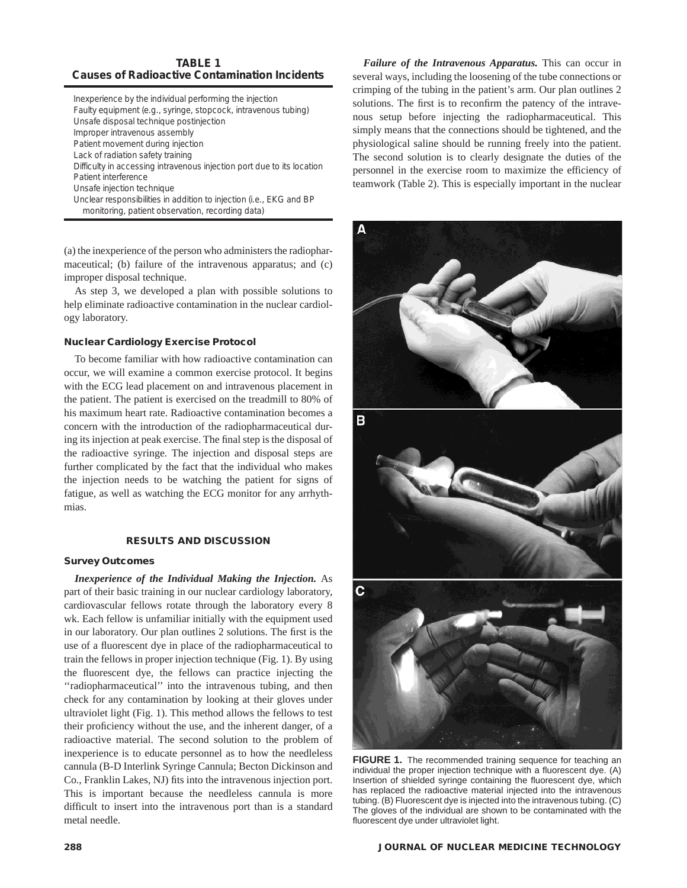# **TABLE 1 Causes of Radioactive Contamination Incidents**

| Inexperience by the individual performing the injection<br>Faulty equipment (e.g., syringe, stopcock, intravenous tubing) |
|---------------------------------------------------------------------------------------------------------------------------|
| Unsafe disposal technique postinjection                                                                                   |
| Improper intravenous assembly                                                                                             |
| Patient movement during injection                                                                                         |
| Lack of radiation safety training                                                                                         |
| Difficulty in accessing intravenous injection port due to its location                                                    |
| Patient interference                                                                                                      |
| Unsafe injection technique                                                                                                |
| Unclear responsibilities in addition to injection (i.e., EKG and BP<br>monitoring, patient observation, recording data)   |

(a) the inexperience of the person who administers the radiopharmaceutical; (b) failure of the intravenous apparatus; and (c) improper disposal technique.

As step 3, we developed a plan with possible solutions to help eliminate radioactive contamination in the nuclear cardiology laboratory.

## **Nuclear Cardiology Exercise Protocol**

To become familiar with how radioactive contamination can occur, we will examine a common exercise protocol. It begins with the ECG lead placement on and intravenous placement in the patient. The patient is exercised on the treadmill to 80% of his maximum heart rate. Radioactive contamination becomes a concern with the introduction of the radiopharmaceutical during its injection at peak exercise. The final step is the disposal of the radioactive syringe. The injection and disposal steps are further complicated by the fact that the individual who makes the injection needs to be watching the patient for signs of fatigue, as well as watching the ECG monitor for any arrhythmias.

### **RESULTS AND DISCUSSION**

#### **Survey Outcomes**

*Inexperience of the Individual Making the Injection.* As part of their basic training in our nuclear cardiology laboratory, cardiovascular fellows rotate through the laboratory every 8 wk. Each fellow is unfamiliar initially with the equipment used in our laboratory. Our plan outlines 2 solutions. The first is the use of a fluorescent dye in place of the radiopharmaceutical to train the fellows in proper injection technique (Fig. 1). By using the fluorescent dye, the fellows can practice injecting the ''radiopharmaceutical'' into the intravenous tubing, and then check for any contamination by looking at their gloves under ultraviolet light (Fig. 1). This method allows the fellows to test their proficiency without the use, and the inherent danger, of a radioactive material. The second solution to the problem of inexperience is to educate personnel as to how the needleless cannula (B-D Interlink Syringe Cannula; Becton Dickinson and Co., Franklin Lakes, NJ) fits into the intravenous injection port. This is important because the needleless cannula is more difficult to insert into the intravenous port than is a standard metal needle.

*Failure of the Intravenous Apparatus.* This can occur in several ways, including the loosening of the tube connections or crimping of the tubing in the patient's arm. Our plan outlines 2 solutions. The first is to reconfirm the patency of the intravenous setup before injecting the radiopharmaceutical. This simply means that the connections should be tightened, and the physiological saline should be running freely into the patient. The second solution is to clearly designate the duties of the personnel in the exercise room to maximize the efficiency of teamwork (Table 2). This is especially important in the nuclear



**FIGURE 1.** The recommended training sequence for teaching an individual the proper injection technique with a fluorescent dye. (A) Insertion of shielded syringe containing the fluorescent dye, which has replaced the radioactive material injected into the intravenous tubing. (B) Fluorescent dye is injected into the intravenous tubing. (C) The gloves of the individual are shown to be contaminated with the fluorescent dye under ultraviolet light.